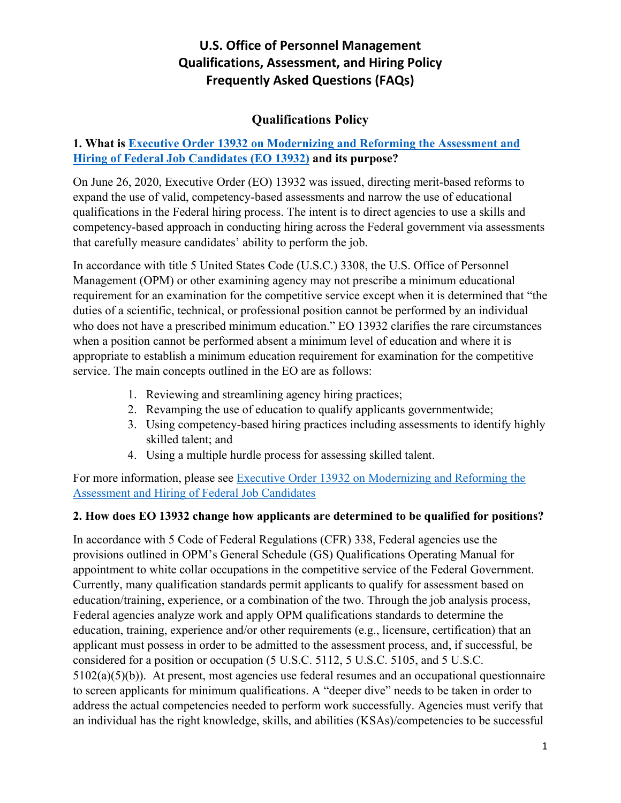## **Qualifications Policy**

## **1. What is [Executive Order 13932 on Modernizing and Reforming the Assessment and](https://www.federalregister.gov/documents/2020/07/01/2020-14337/modernizing-and-reforming-the-assessment-and-hiring-of-federal-job-candidates) [Hiring of Federal Job Candidates \(EO 13932\)](https://www.federalregister.gov/documents/2020/07/01/2020-14337/modernizing-and-reforming-the-assessment-and-hiring-of-federal-job-candidates) and its purpose?**

On June 26, 2020, Executive Order (EO) 13932 was issued, directing merit-based reforms to expand the use of valid, competency-based assessments and narrow the use of educational qualifications in the Federal hiring process. The intent is to direct agencies to use a skills and competency-based approach in conducting hiring across the Federal government via assessments that carefully measure candidates' ability to perform the job.

In accordance with title 5 United States Code (U.S.C.) 3308, the U.S. Office of Personnel Management (OPM) or other examining agency may not prescribe a minimum educational requirement for an examination for the competitive service except when it is determined that "the duties of a scientific, technical, or professional position cannot be performed by an individual who does not have a prescribed minimum education." EO 13932 clarifies the rare circumstances when a position cannot be performed absent a minimum level of education and where it is appropriate to establish a minimum education requirement for examination for the competitive service. The main concepts outlined in the EO are as follows:

- 1. Reviewing and streamlining agency hiring practices;
- 2. Revamping the use of education to qualify applicants governmentwide;
- 3. Using competency-based hiring practices including assessments to identify highly skilled talent; and
- 4. Using a multiple hurdle process for assessing skilled talent.

For more information, please see [Executive Order 13932 on Modernizing and Reforming the](https://www.federalregister.gov/documents/2020/07/01/2020-14337/modernizing-and-reforming-the-assessment-and-hiring-of-federal-job-candidates)  [Assessment and Hiring of Federal Job Candidates](https://www.federalregister.gov/documents/2020/07/01/2020-14337/modernizing-and-reforming-the-assessment-and-hiring-of-federal-job-candidates)

#### **2. How does EO 13932 change how applicants are determined to be qualified for positions?**

In accordance with 5 Code of Federal Regulations (CFR) 338, Federal agencies use the provisions outlined in OPM's General Schedule (GS) Qualifications Operating Manual for appointment to white collar occupations in the competitive service of the Federal Government. Currently, many qualification standards permit applicants to qualify for assessment based on education/training, experience, or a combination of the two. Through the job analysis process, Federal agencies analyze work and apply OPM qualifications standards to determine the education, training, experience and/or other requirements (e.g., licensure, certification) that an applicant must possess in order to be admitted to the assessment process, and, if successful, be considered for a position or occupation (5 U.S.C. 5112, 5 U.S.C. 5105, and 5 U.S.C. 5102(a)(5)(b)). At present, most agencies use federal resumes and an occupational questionnaire to screen applicants for minimum qualifications. A "deeper dive" needs to be taken in order to address the actual competencies needed to perform work successfully. Agencies must verify that an individual has the right knowledge, skills, and abilities (KSAs)/competencies to be successful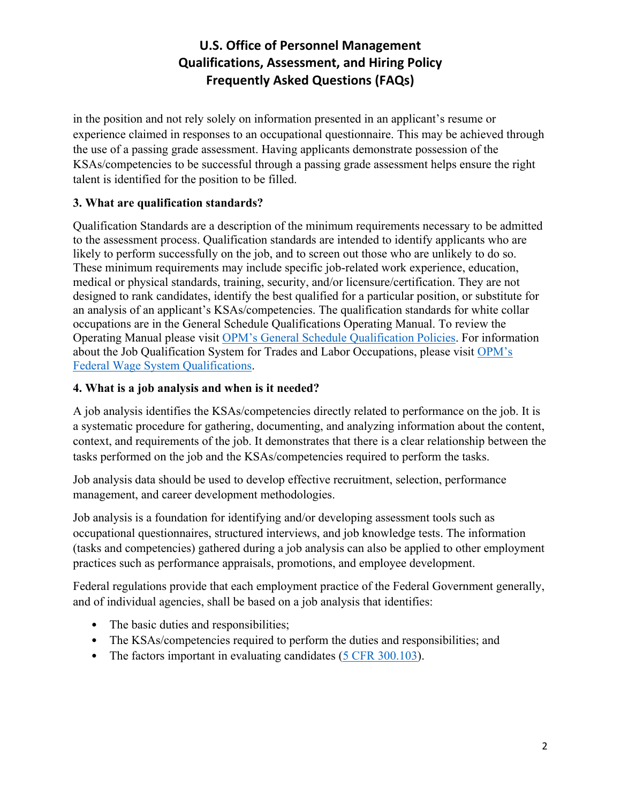in the position and not rely solely on information presented in an applicant's resume or experience claimed in responses to an occupational questionnaire. This may be achieved through the use of a passing grade assessment. Having applicants demonstrate possession of the KSAs/competencies to be successful through a passing grade assessment helps ensure the right talent is identified for the position to be filled.

### **3. What are qualification standards?**

Qualification Standards are a description of the minimum requirements necessary to be admitted to the assessment process. Qualification standards are intended to identify applicants who are likely to perform successfully on the job, and to screen out those who are unlikely to do so. These minimum requirements may include specific job-related work experience, education, medical or physical standards, training, security, and/or licensure/certification. They are not designed to rank candidates, identify the best qualified for a particular position, or substitute for an analysis of an applicant's KSAs/competencies. The qualification standards for white collar occupations are in the General Schedule Qualifications Operating Manual. To review the Operating Manual please visit [OPM's General Schedule Qualification Policies.](https://www.opm.gov/policy-data-oversight/classification-qualifications/general-schedule-qualification-policies/) For information about the Job Qualification System for Trades and Labor Occupations, please visit [OPM's](https://www.opm.gov/policy-data-oversight/classification-qualifications/federal-wage-system-qualifications/)  [Federal Wage System Qualifications.](https://www.opm.gov/policy-data-oversight/classification-qualifications/federal-wage-system-qualifications/)

### **4. What is a job analysis and when is it needed?**

A job analysis identifies the KSAs/competencies directly related to performance on the job. It is a systematic procedure for gathering, documenting, and analyzing information about the content, context, and requirements of the job. It demonstrates that there is a clear relationship between the tasks performed on the job and the KSAs/competencies required to perform the tasks.

Job analysis data should be used to develop effective recruitment, selection, performance management, and career development methodologies.

Job analysis is a foundation for identifying and/or developing assessment tools such as occupational questionnaires, structured interviews, and job knowledge tests. The information (tasks and competencies) gathered during a job analysis can also be applied to other employment practices such as performance appraisals, promotions, and employee development.

Federal regulations provide that each employment practice of the Federal Government generally, and of individual agencies, shall be based on a job analysis that identifies:

- The basic duties and responsibilities;
- The KSAs/competencies required to perform the duties and responsibilities; and
- The factors important in evaluating candidates [\(5 CFR 300.103\)](https://www.govinfo.gov/content/pkg/CFR-2020-title5-vol1/pdf/CFR-2020-title5-vol1-sec300-103.pdf).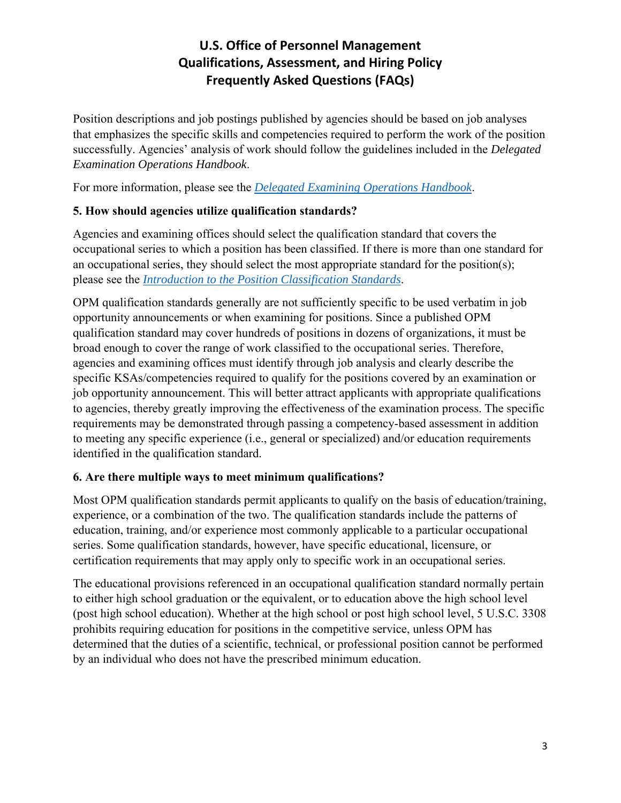Position descriptions and job postings published by agencies should be based on job analyses that emphasizes the specific skills and competencies required to perform the work of the position successfully. Agencies' analysis of work should follow the guidelines included in the *Delegated Examination Operations Handbook*.

For more information, please see the *[Delegated Examining Operations Handbook](https://www.opm.gov/policy-data-oversight/hiring-information/competitive-hiring/deo_handbook.pdf)*.

## **5. How should agencies utilize qualification standards?**

Agencies and examining offices should select the qualification standard that covers the occupational series to which a position has been classified. If there is more than one standard for an occupational series, they should select the most appropriate standard for the position(s); please see the *[Introduction to the Position Classification Standards](https://www.opm.gov/policy-data-oversight/classification-qualifications/classifying-general-schedule-positions/positionclassificationintro.pdf)*.

OPM qualification standards generally are not sufficiently specific to be used verbatim in job opportunity announcements or when examining for positions. Since a published OPM qualification standard may cover hundreds of positions in dozens of organizations, it must be broad enough to cover the range of work classified to the occupational series. Therefore, agencies and examining offices must identify through job analysis and clearly describe the specific KSAs/competencies required to qualify for the positions covered by an examination or job opportunity announcement. This will better attract applicants with appropriate qualifications to agencies, thereby greatly improving the effectiveness of the examination process. The specific requirements may be demonstrated through passing a competency-based assessment in addition to meeting any specific experience (i.e., general or specialized) and/or education requirements identified in the qualification standard.

## **6. Are there multiple ways to meet minimum qualifications?**

Most OPM qualification standards permit applicants to qualify on the basis of education/training, experience, or a combination of the two. The qualification standards include the patterns of education, training, and/or experience most commonly applicable to a particular occupational series. Some qualification standards, however, have specific educational, licensure, or certification requirements that may apply only to specific work in an occupational series.

The educational provisions referenced in an occupational qualification standard normally pertain to either high school graduation or the equivalent, or to education above the high school level (post high school education). Whether at the high school or post high school level, 5 U.S.C. 3308 prohibits requiring education for positions in the competitive service, unless OPM has determined that the duties of a scientific, technical, or professional position cannot be performed by an individual who does not have the prescribed minimum education.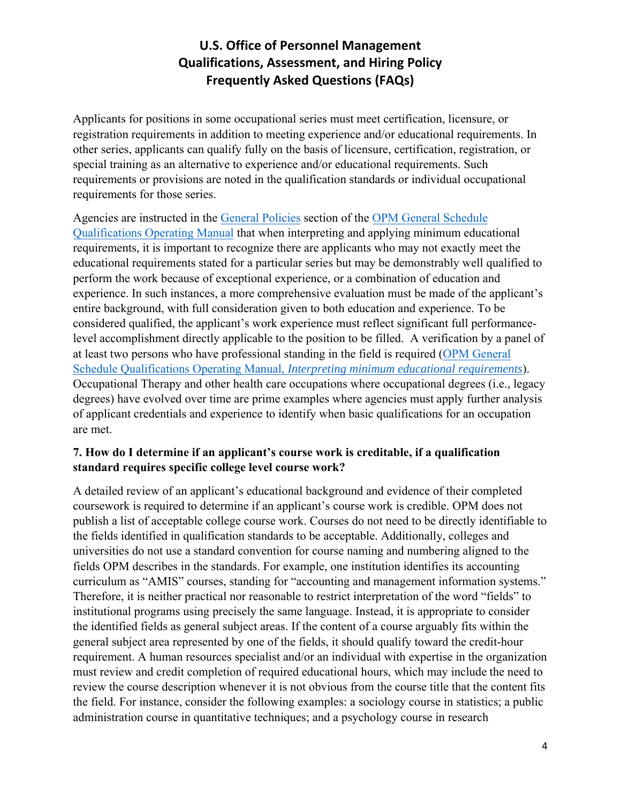Applicants for positions in some occupational series must meet certification, licensure, or registration requirements in addition to meeting experience and/or educational requirements. In other series, applicants can qualify fully on the basis of licensure, certification, registration, or special training as an alternative to experience and/or educational requirements. Such requirements or provisions are noted in the qualification standards or individual occupational requirements for those series.

Agencies are instructed in the [General Policies](https://www.opm.gov/policy-data-oversight/classification-qualifications/general-schedule-qualification-policies/#url=General-Policies) section of the [OPM General Schedule](https://www.opm.gov/policy-data-oversight/classification-qualifications/general-schedule-qualification-policies/#url=Overview)  [Qualifications Operating Manual](https://www.opm.gov/policy-data-oversight/classification-qualifications/general-schedule-qualification-policies/#url=Overview) that when interpreting and applying minimum educational requirements, it is important to recognize there are applicants who may not exactly meet the educational requirements stated for a particular series but may be demonstrably well qualified to perform the work because of exceptional experience, or a combination of education and experience. In such instances, a more comprehensive evaluation must be made of the applicant's entire background, with full consideration given to both education and experience. To be considered qualified, the applicant's work experience must reflect significant full performancelevel accomplishment directly applicable to the position to be filled. A verification by a panel of at least two persons who have professional standing in the field is required [\(OPM General](https://www.opm.gov/policy-data-oversight/classification-qualifications/general-schedule-qualification-policies/#url=Overview)  Schedule Qualifications Operating Manual, *[Interpreting minimum educational requirements](https://www.opm.gov/policy-data-oversight/classification-qualifications/general-schedule-qualification-policies/#url=Overview)*). Occupational Therapy and other health care occupations where occupational degrees (i.e., legacy degrees) have evolved over time are prime examples where agencies must apply further analysis of applicant credentials and experience to identify when basic qualifications for an occupation are met.

#### **7. How do I determine if an applicant's course work is creditable, if a qualification standard requires specific college level course work?**

A detailed review of an applicant's educational background and evidence of their completed coursework is required to determine if an applicant's course work is credible. OPM does not publish a list of acceptable college course work. Courses do not need to be directly identifiable to the fields identified in qualification standards to be acceptable. Additionally, colleges and universities do not use a standard convention for course naming and numbering aligned to the fields OPM describes in the standards. For example, one institution identifies its accounting curriculum as "AMIS" courses, standing for "accounting and management information systems." Therefore, it is neither practical nor reasonable to restrict interpretation of the word "fields" to institutional programs using precisely the same language. Instead, it is appropriate to consider the identified fields as general subject areas. If the content of a course arguably fits within the general subject area represented by one of the fields, it should qualify toward the credit-hour requirement. A human resources specialist and/or an individual with expertise in the organization must review and credit completion of required educational hours, which may include the need to review the course description whenever it is not obvious from the course title that the content fits the field. For instance, consider the following examples: a sociology course in statistics; a public administration course in quantitative techniques; and a psychology course in research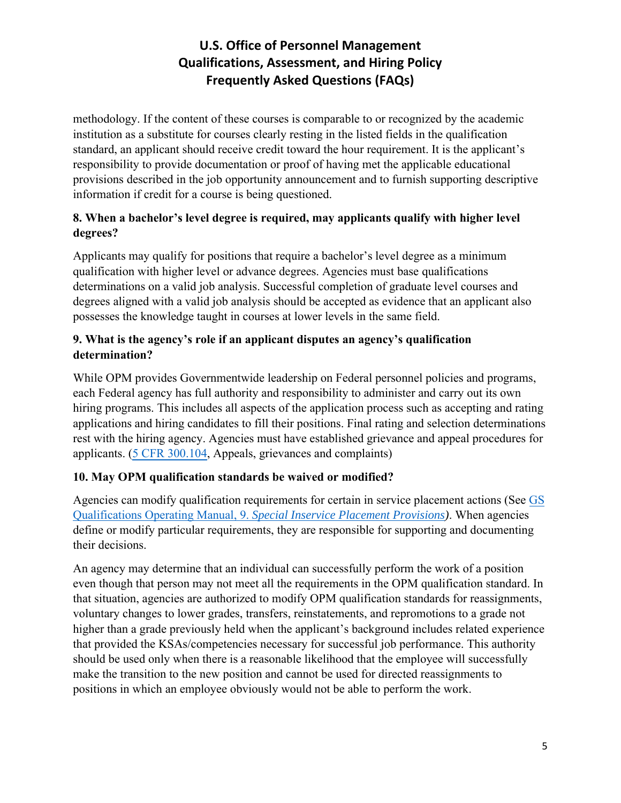methodology. If the content of these courses is comparable to or recognized by the academic institution as a substitute for courses clearly resting in the listed fields in the qualification standard, an applicant should receive credit toward the hour requirement. It is the applicant's responsibility to provide documentation or proof of having met the applicable educational provisions described in the job opportunity announcement and to furnish supporting descriptive information if credit for a course is being questioned.

## **8. When a bachelor's level degree is required, may applicants qualify with higher level degrees?**

Applicants may qualify for positions that require a bachelor's level degree as a minimum qualification with higher level or advance degrees. Agencies must base qualifications determinations on a valid job analysis. Successful completion of graduate level courses and degrees aligned with a valid job analysis should be accepted as evidence that an applicant also possesses the knowledge taught in courses at lower levels in the same field.

## **9. What is the agency's role if an applicant disputes an agency's qualification determination?**

While OPM provides Governmentwide leadership on Federal personnel policies and programs, each Federal agency has full authority and responsibility to administer and carry out its own hiring programs. This includes all aspects of the application process such as accepting and rating applications and hiring candidates to fill their positions. Final rating and selection determinations rest with the hiring agency. Agencies must have established grievance and appeal procedures for applicants. [\(5 CFR 300.104,](https://www.ecfr.gov/current/title-5/chapter-I/subchapter-B/part-300/subpart-A/section-300.104) Appeals, grievances and complaints)

## **10. May OPM qualification standards be waived or modified?**

Agencies can modify qualification requirements for certain in service placement actions (See [GS](https://www.opm.gov/policy-data-oversight/classification-qualifications/general-schedule-qualification-policies/#url=e9) Qualifications Operating Manual, 9. *[Special Inservice Placement Provisions\)](https://www.opm.gov/policy-data-oversight/classification-qualifications/general-schedule-qualification-policies/#url=e9)*. When agencies define or modify particular requirements, they are responsible for supporting and documenting their decisions.

An agency may determine that an individual can successfully perform the work of a position even though that person may not meet all the requirements in the OPM qualification standard. In that situation, agencies are authorized to modify OPM qualification standards for reassignments, voluntary changes to lower grades, transfers, reinstatements, and repromotions to a grade not higher than a grade previously held when the applicant's background includes related experience that provided the KSAs/competencies necessary for successful job performance. This authority should be used only when there is a reasonable likelihood that the employee will successfully make the transition to the new position and cannot be used for directed reassignments to positions in which an employee obviously would not be able to perform the work.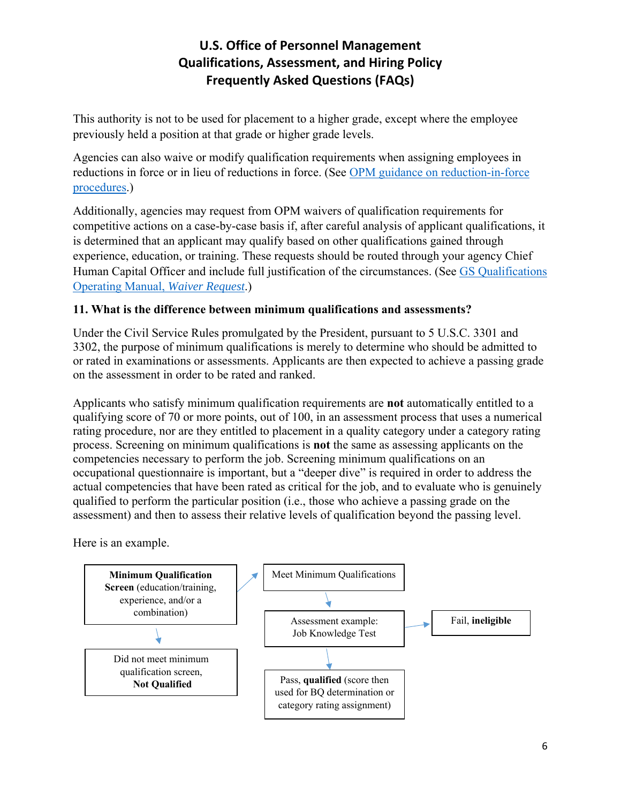This authority is not to be used for placement to a higher grade, except where the employee previously held a position at that grade or higher grade levels.

Agencies can also waive or modify qualification requirements when assigning employees in reductions in force or in lieu of reductions in force. (See [OPM guidance on reduction-in-force](https://www.opm.gov/services-for-agencies/workforce-restructuring/reductions-in-force/)  [procedures.](https://www.opm.gov/services-for-agencies/workforce-restructuring/reductions-in-force/))

Additionally, agencies may request from OPM waivers of qualification requirements for competitive actions on a case-by-case basis if, after careful analysis of applicant qualifications, it is determined that an applicant may qualify based on other qualifications gained through experience, education, or training. These requests should be routed through your agency Chief Human Capital Officer and include full justification of the circumstances. (See [GS Qualifications](https://www.opm.gov/policy-data-oversight/classification-qualifications/general-schedule-qualification-policies/#url=e9)  [Operating Manual,](https://www.opm.gov/policy-data-oversight/classification-qualifications/general-schedule-qualification-policies/#url=e9) *Waiver Request*.)

## **11. What is the difference between minimum qualifications and assessments?**

Under the Civil Service Rules promulgated by the President, pursuant to 5 U.S.C. 3301 and 3302, the purpose of minimum qualifications is merely to determine who should be admitted to or rated in examinations or assessments. Applicants are then expected to achieve a passing grade on the assessment in order to be rated and ranked.

Applicants who satisfy minimum qualification requirements are **not** automatically entitled to a qualifying score of 70 or more points, out of 100, in an assessment process that uses a numerical rating procedure, nor are they entitled to placement in a quality category under a category rating process. Screening on minimum qualifications is **not** the same as assessing applicants on the competencies necessary to perform the job. Screening minimum qualifications on an occupational questionnaire is important, but a "deeper dive" is required in order to address the actual competencies that have been rated as critical for the job, and to evaluate who is genuinely qualified to perform the particular position (i.e., those who achieve a passing grade on the assessment) and then to assess their relative levels of qualification beyond the passing level.

Here is an example.

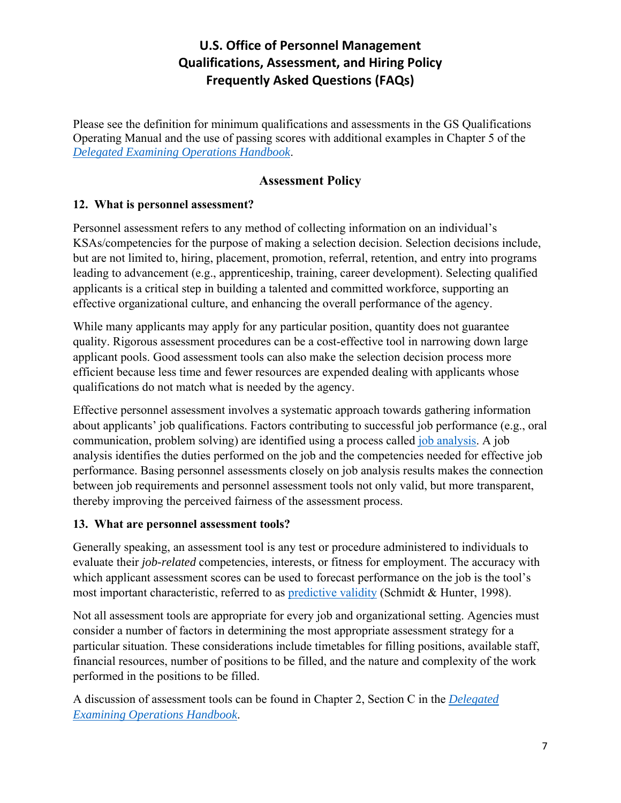Please see the definition for minimum qualifications and assessments in the GS Qualifications Operating Manual and the use of passing scores with additional examples in Chapter 5 of the *[Delegated Examining Operations Handbook](https://www.opm.gov/policy-data-oversight/hiring-information/competitive-hiring/deo_handbook.pdf)*.

## **Assessment Policy**

### **12. What is personnel assessment?**

Personnel assessment refers to any method of collecting information on an individual's KSAs/competencies for the purpose of making a selection decision. Selection decisions include, but are not limited to, hiring, placement, promotion, referral, retention, and entry into programs leading to advancement (e.g., apprenticeship, training, career development). Selecting qualified applicants is a critical step in building a talented and committed workforce, supporting an effective organizational culture, and enhancing the overall performance of the agency.

While many applicants may apply for any particular position, quantity does not guarantee quality. Rigorous assessment procedures can be a cost-effective tool in narrowing down large applicant pools. Good assessment tools can also make the selection decision process more efficient because less time and fewer resources are expended dealing with applicants whose qualifications do not match what is needed by the agency.

Effective personnel assessment involves a systematic approach towards gathering information about applicants' job qualifications. Factors contributing to successful job performance (e.g., oral communication, problem solving) are identified using a process called [job analysis.](https://www.opm.gov/policy-data-oversight/assessment-and-selection/assessment-glossary/#JobAnalysis) A job analysis identifies the duties performed on the job and the competencies needed for effective job performance. Basing personnel assessments closely on job analysis results makes the connection between job requirements and personnel assessment tools not only valid, but more transparent, thereby improving the perceived fairness of the assessment process.

#### **13. What are personnel assessment tools?**

Generally speaking, an assessment tool is any test or procedure administered to individuals to evaluate their *job-related* competencies, interests, or fitness for employment. The accuracy with which applicant assessment scores can be used to forecast performance on the job is the tool's most important characteristic, referred to as [predictive validity](https://www.opm.gov/policy-data-oversight/assessment-and-selection/assessment-glossary/#Predictive) (Schmidt & Hunter, 1998).

Not all assessment tools are appropriate for every job and organizational setting. Agencies must consider a number of factors in determining the most appropriate assessment strategy for a particular situation. These considerations include timetables for filling positions, available staff, financial resources, number of positions to be filled, and the nature and complexity of the work performed in the positions to be filled.

A discussion of assessment tools can be found in Chapter 2, Section C in the *[Delegated](https://www.opm.gov/policy-data-oversight/hiring-information/competitive-hiring/deo_handbook.pdf)  [Examining Operations Handbook](https://www.opm.gov/policy-data-oversight/hiring-information/competitive-hiring/deo_handbook.pdf)*.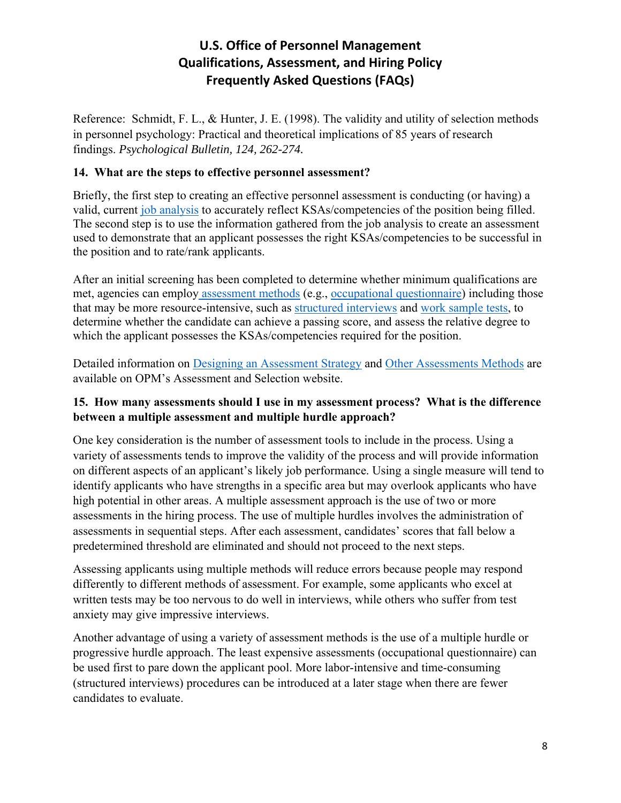Reference: Schmidt, F. L., & Hunter, J. E. (1998). The validity and utility of selection methods in personnel psychology: Practical and theoretical implications of 85 years of research findings. *Psychological Bulletin, 124, 262-274.*

#### **14. What are the steps to effective personnel assessment?**

Briefly, the first step to creating an effective personnel assessment is conducting (or having) a valid, current [job analysis](https://www.opm.gov/policy-data-oversight/assessment-and-selection/assessment-glossary/#JobAnalysis) to accurately reflect KSAs/competencies of the position being filled. The second step is to use the information gathered from the job analysis to create an assessment used to demonstrate that an applicant possesses the right KSAs/competencies to be successful in the position and to rate/rank applicants.

After an initial screening has been completed to determine whether minimum qualifications are met, agencies can employ [assessment methods](https://www.opm.gov/policy-data-oversight/assessment-and-selection/other-assessment-methods/) (e.g., [occupational questionnaire\)](https://www.opm.gov/policy-data-oversight/assessment-and-selection/occupational-questionnaires/) including those that may be more resource-intensive, such as [structured interviews](https://www.opm.gov/policy-data-oversight/assessment-and-selection/structured-interviews/) and [work sample tests,](https://www.opm.gov/policy-data-oversight/assessment-and-selection/other-assessment-methods/work-samples-and-simulations/) to determine whether the candidate can achieve a passing score, and assess the relative degree to which the applicant possesses the KSAs/competencies required for the position.

Detailed information on [Designing an Assessment Strategy](https://www.opm.gov/policy-data-oversight/assessment-and-selection/assessment-strategy/) and [Other Assessments Methods](https://www.opm.gov/policy-data-oversight/assessment-and-selection/other-assessment-methods/) are available on OPM's Assessment and Selection website.

### **15. How many assessments should I use in my assessment process? What is the difference between a multiple assessment and multiple hurdle approach?**

One key consideration is the number of assessment tools to include in the process. Using a variety of assessments tends to improve the validity of the process and will provide information on different aspects of an applicant's likely job performance. Using a single measure will tend to identify applicants who have strengths in a specific area but may overlook applicants who have high potential in other areas. A multiple assessment approach is the use of two or more assessments in the hiring process. The use of multiple hurdles involves the administration of assessments in sequential steps. After each assessment, candidates' scores that fall below a predetermined threshold are eliminated and should not proceed to the next steps.

Assessing applicants using multiple methods will reduce errors because people may respond differently to different methods of assessment. For example, some applicants who excel at written tests may be too nervous to do well in interviews, while others who suffer from test anxiety may give impressive interviews.

Another advantage of using a variety of assessment methods is the use of a multiple hurdle or progressive hurdle approach. The least expensive assessments (occupational questionnaire) can be used first to pare down the applicant pool. More labor-intensive and time-consuming (structured interviews) procedures can be introduced at a later stage when there are fewer candidates to evaluate.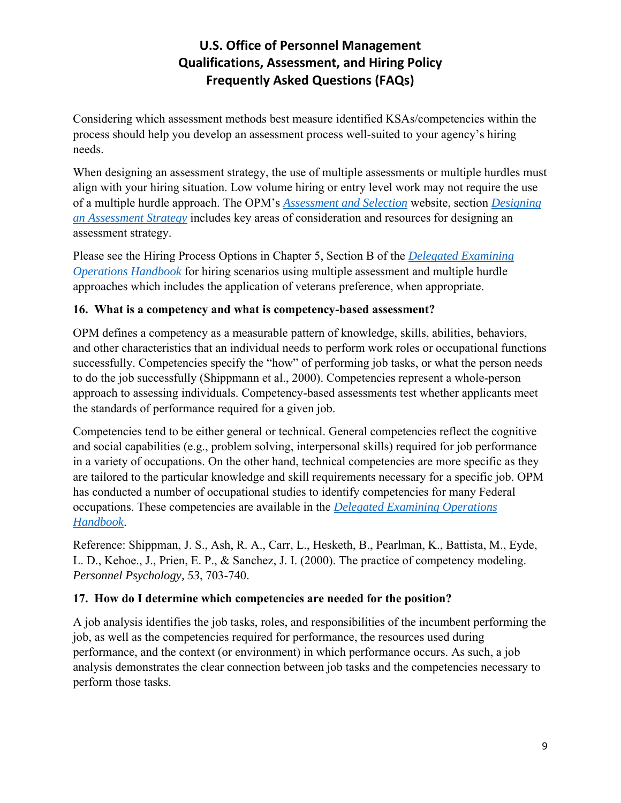Considering which assessment methods best measure identified KSAs/competencies within the process should help you develop an assessment process well-suited to your agency's hiring needs.

When designing an assessment strategy, the use of multiple assessments or multiple hurdles must align with your hiring situation. Low volume hiring or entry level work may not require the use of a multiple hurdle approach. The OPM's *[Assessment and Selection](https://www.opm.gov/policy-data-oversight/assessment-and-selection/)* website, section *[Designing](https://www.opm.gov/policy-data-oversight/assessment-and-selection/assessment-strategy/)  [an Assessment Strategy](https://www.opm.gov/policy-data-oversight/assessment-and-selection/assessment-strategy/)* includes key areas of consideration and resources for designing an assessment strategy.

Please see the Hiring Process Options in Chapter 5, Section B of the *[Delegated Examining](https://www.opm.gov/policy-data-oversight/hiring-information/competitive-hiring/deo_handbook.pdf)  [Operations Handbook](https://www.opm.gov/policy-data-oversight/hiring-information/competitive-hiring/deo_handbook.pdf)* for hiring scenarios using multiple assessment and multiple hurdle approaches which includes the application of veterans preference, when appropriate.

## **16. What is a competency and what is competency-based assessment?**

OPM defines a competency as a measurable pattern of knowledge, skills, abilities, behaviors, and other characteristics that an individual needs to perform work roles or occupational functions successfully. Competencies specify the "how" of performing job tasks, or what the person needs to do the job successfully (Shippmann et al., 2000). Competencies represent a whole-person approach to assessing individuals. Competency-based assessments test whether applicants meet the standards of performance required for a given job.

Competencies tend to be either general or technical. General competencies reflect the cognitive and social capabilities (e.g., problem solving, interpersonal skills) required for job performance in a variety of occupations. On the other hand, technical competencies are more specific as they are tailored to the particular knowledge and skill requirements necessary for a specific job. OPM has conducted a number of occupational studies to identify competencies for many Federal occupations. These competencies are available in the *[Delegated Examining Operations](https://www.opm.gov/policy-data-oversight/hiring-information/competitive-hiring/deo_handbook.pdf)  [Handbook](https://www.opm.gov/policy-data-oversight/hiring-information/competitive-hiring/deo_handbook.pdf)*.

Reference: Shippman, J. S., Ash, R. A., Carr, L., Hesketh, B., Pearlman, K., Battista, M., Eyde, L. D., Kehoe., J., Prien, E. P., & Sanchez, J. I. (2000). The practice of competency modeling. *Personnel Psychology, 53*, 703-740.

## **17. How do I determine which competencies are needed for the position?**

A job analysis identifies the job tasks, roles, and responsibilities of the incumbent performing the job, as well as the competencies required for performance, the resources used during performance, and the context (or environment) in which performance occurs. As such, a job analysis demonstrates the clear connection between job tasks and the competencies necessary to perform those tasks.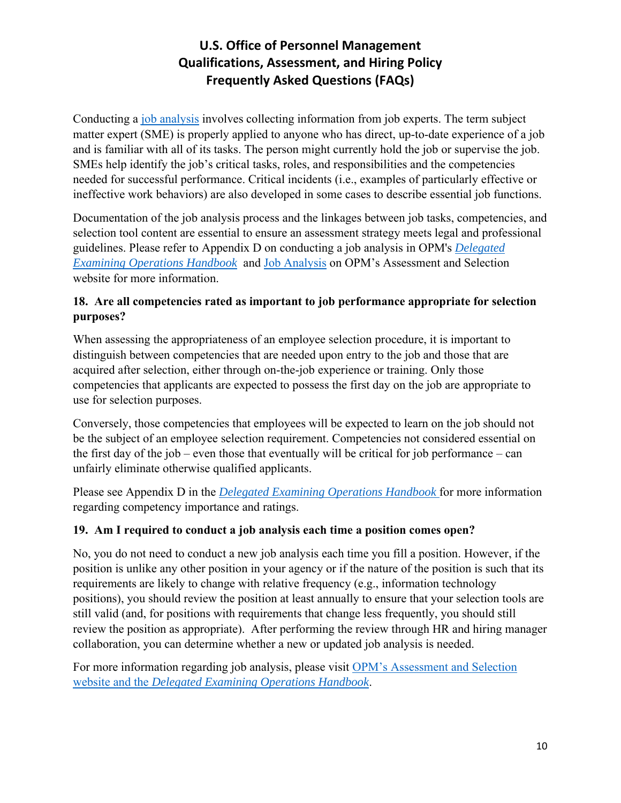Conducting a [job analysis](https://www.opm.gov/policy-data-oversight/assessment-and-selection/assessment-glossary/#JobAnalysis) involves collecting information from job experts. The term subject matter expert (SME) is properly applied to anyone who has direct, up-to-date experience of a job and is familiar with all of its tasks. The person might currently hold the job or supervise the job. SMEs help identify the job's critical tasks, roles, and responsibilities and the competencies needed for successful performance. Critical incidents (i.e., examples of particularly effective or ineffective work behaviors) are also developed in some cases to describe essential job functions.

Documentation of the job analysis process and the linkages between job tasks, competencies, and selection tool content are essential to ensure an assessment strategy meets legal and professional guidelines. Please refer to Appendix D on conducting a job analysis in OPM's *[Delegated](https://www.opm.gov/policy-data-oversight/hiring-information/competitive-hiring/deo_handbook.pdf)  [Examining Operations Handbook](https://www.opm.gov/policy-data-oversight/hiring-information/competitive-hiring/deo_handbook.pdf)* and [Job Analysis](https://www.opm.gov/policy-data-oversight/assessment-and-selection/job-analysis/) on OPM's Assessment and Selection website for more information.

### **18. Are all competencies rated as important to job performance appropriate for selection purposes?**

When assessing the appropriateness of an employee selection procedure, it is important to distinguish between competencies that are needed upon entry to the job and those that are acquired after selection, either through on-the-job experience or training. Only those competencies that applicants are expected to possess the first day on the job are appropriate to use for selection purposes.

Conversely, those competencies that employees will be expected to learn on the job should not be the subject of an employee selection requirement. Competencies not considered essential on the first day of the job – even those that eventually will be critical for job performance – can unfairly eliminate otherwise qualified applicants.

Please see Appendix D in the *[Delegated Examining Operations Handbook](https://www.opm.gov/policy-data-oversight/hiring-information/competitive-hiring/deo_handbook.pdf)* for more information regarding competency importance and ratings.

## **19. Am I required to conduct a job analysis each time a position comes open?**

No, you do not need to conduct a new job analysis each time you fill a position. However, if the position is unlike any other position in your agency or if the nature of the position is such that its requirements are likely to change with relative frequency (e.g., information technology positions), you should review the position at least annually to ensure that your selection tools are still valid (and, for positions with requirements that change less frequently, you should still review the position as appropriate). After performing the review through HR and hiring manager collaboration, you can determine whether a new or updated job analysis is needed.

For more information regarding job analysis, please visit [OPM's Assessment and Selection](https://www.opm.gov/policy-data-oversight/assessment-and-selection/job-analysis/)  [website](https://www.opm.gov/policy-data-oversight/assessment-and-selection/job-analysis/) and the *[Delegated Examining Operations Handbook](https://www.opm.gov/policy-data-oversight/hiring-information/competitive-hiring/deo_handbook.pdf)*.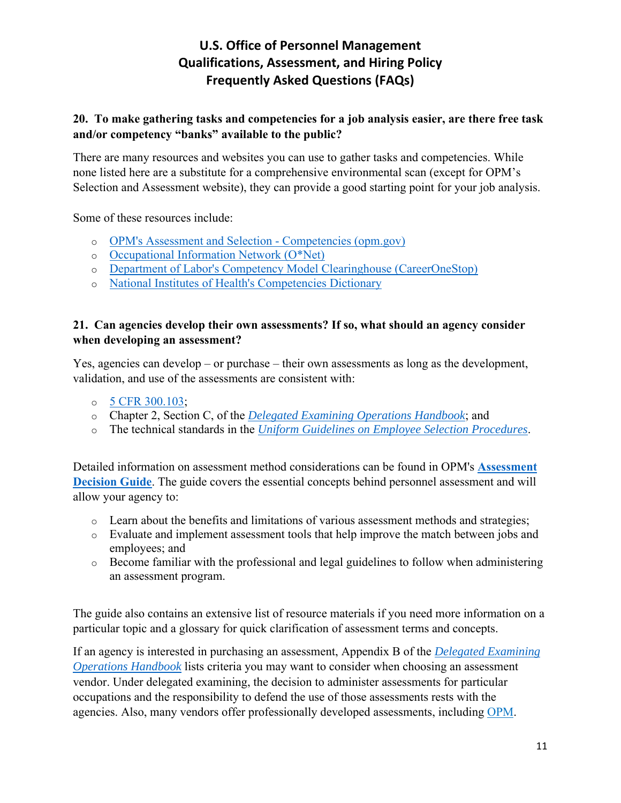#### **20. To make gathering tasks and competencies for a job analysis easier, are there free task and/or competency "banks" available to the public?**

There are many resources and websites you can use to gather tasks and competencies. While none listed here are a substitute for a comprehensive environmental scan (except for OPM's Selection and Assessment website), they can provide a good starting point for your job analysis.

Some of these resources include:

- o [OPM's Assessment and Selection Competencies \(opm.gov\)](https://www.opm.gov/policy-data-oversight/assessment-and-selection/competencies/)
- o [Occupational Information Network \(O\\*Net\)](http://online.onetcenter.org/)
- o [Department of Labor's Competency Model Clearinghouse \(CareerOneStop\)](https://www.careeronestop.org/competencymodel/home.aspx)
- o [National Institutes of Health's Competencies Dictionary](http://hr.od.nih.gov/workingatnih/competencies/core/default.htm)

#### **21. Can agencies develop their own assessments? If so, what should an agency consider when developing an assessment?**

Yes, agencies can develop – or purchase – their own assessments as long as the development, validation, and use of the assessments are consistent with:

- $\circ$  [5 CFR 300.103;](https://www.govinfo.gov/content/pkg/CFR-2020-title5-vol1/pdf/CFR-2020-title5-vol1-sec300-103.pdf)
- o Chapter 2, Section C, of the *[Delegated Examining Operations Handbook](https://www.opm.gov/policy-data-oversight/hiring-information/competitive-hiring/deo_handbook.pdf)*; and
- o The technical standards in the *[Uniform Guidelines on Employee Selection Procedures](https://www.govinfo.gov/content/pkg/CFR-2020-title29-vol4/pdf/CFR-2020-title29-vol4-sec1607-1.pdf)*.

Detailed information on assessment method considerations can be found in OPM's **[Assessment](http://www.opm.gov/policy-data-oversight/assessment-and-selection/reference-materials/assessmentdecisionguide.pdf)  [Decision Guide](http://www.opm.gov/policy-data-oversight/assessment-and-selection/reference-materials/assessmentdecisionguide.pdf)**. The guide covers the essential concepts behind personnel assessment and will allow your agency to:

- o Learn about the benefits and limitations of various assessment methods and strategies;
- o Evaluate and implement assessment tools that help improve the match between jobs and employees; and
- o Become familiar with the professional and legal guidelines to follow when administering an assessment program.

The guide also contains an extensive list of resource materials if you need more information on a particular topic and a glossary for quick clarification of assessment terms and concepts.

If an agency is interested in purchasing an assessment, Appendix B of the *[Delegated Examining](https://www.opm.gov/policy-data-oversight/hiring-information/competitive-hiring/deo_handbook.pdf)  [Operations Handbook](https://www.opm.gov/policy-data-oversight/hiring-information/competitive-hiring/deo_handbook.pdf)* lists criteria you may want to consider when choosing an assessment vendor. Under delegated examining, the decision to administer assessments for particular occupations and the responsibility to defend the use of those assessments rests with the agencies. Also, many vendors offer professionally developed assessments, including [OPM.](http://www.opm.gov/services-for-agencies/assessment-evaluation/)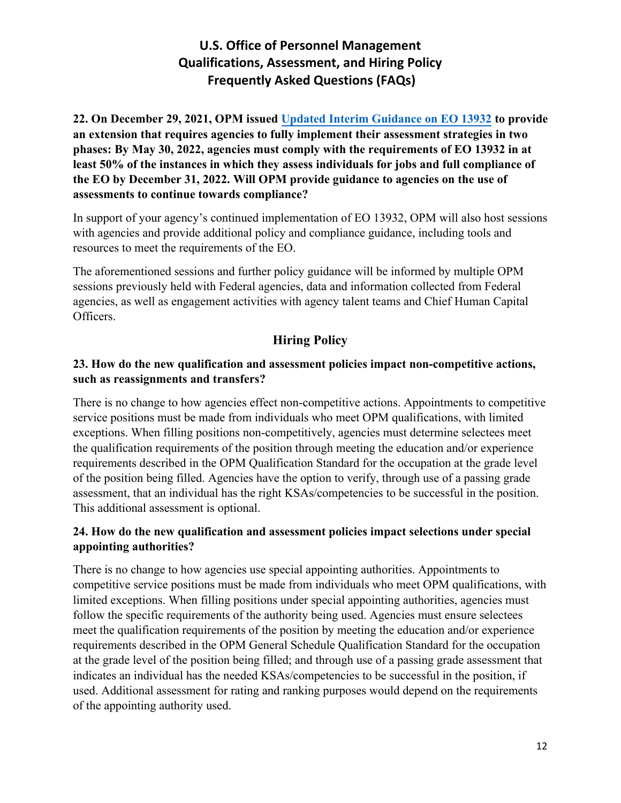**22. On December 29, 2021, OPM issued [Updated Interim Guidance on EO 13932](https://www.chcoc.gov/content/updated-interim-guidance-eo-13932-modernizing-and-reforming-assessment-and-hiring-federal) to provide an extension that requires agencies to fully implement their assessment strategies in two phases: By May 30, 2022, agencies must comply with the requirements of EO 13932 in at least 50% of the instances in which they assess individuals for jobs and full compliance of the EO by December 31, 2022. Will OPM provide guidance to agencies on the use of assessments to continue towards compliance?** 

In support of your agency's continued implementation of EO 13932, OPM will also host sessions with agencies and provide additional policy and compliance guidance, including tools and resources to meet the requirements of the EO.

The aforementioned sessions and further policy guidance will be informed by multiple OPM sessions previously held with Federal agencies, data and information collected from Federal agencies, as well as engagement activities with agency talent teams and Chief Human Capital Officers.

## **Hiring Policy**

### **23. How do the new qualification and assessment policies impact non-competitive actions, such as reassignments and transfers?**

There is no change to how agencies effect non-competitive actions. Appointments to competitive service positions must be made from individuals who meet OPM qualifications, with limited exceptions. When filling positions non-competitively, agencies must determine selectees meet the qualification requirements of the position through meeting the education and/or experience requirements described in the OPM Qualification Standard for the occupation at the grade level of the position being filled. Agencies have the option to verify, through use of a passing grade assessment, that an individual has the right KSAs/competencies to be successful in the position. This additional assessment is optional.

## **24. How do the new qualification and assessment policies impact selections under special appointing authorities?**

There is no change to how agencies use special appointing authorities. Appointments to competitive service positions must be made from individuals who meet OPM qualifications, with limited exceptions. When filling positions under special appointing authorities, agencies must follow the specific requirements of the authority being used. Agencies must ensure selectees meet the qualification requirements of the position by meeting the education and/or experience requirements described in the OPM General Schedule Qualification Standard for the occupation at the grade level of the position being filled; and through use of a passing grade assessment that indicates an individual has the needed KSAs/competencies to be successful in the position, if used. Additional assessment for rating and ranking purposes would depend on the requirements of the appointing authority used.